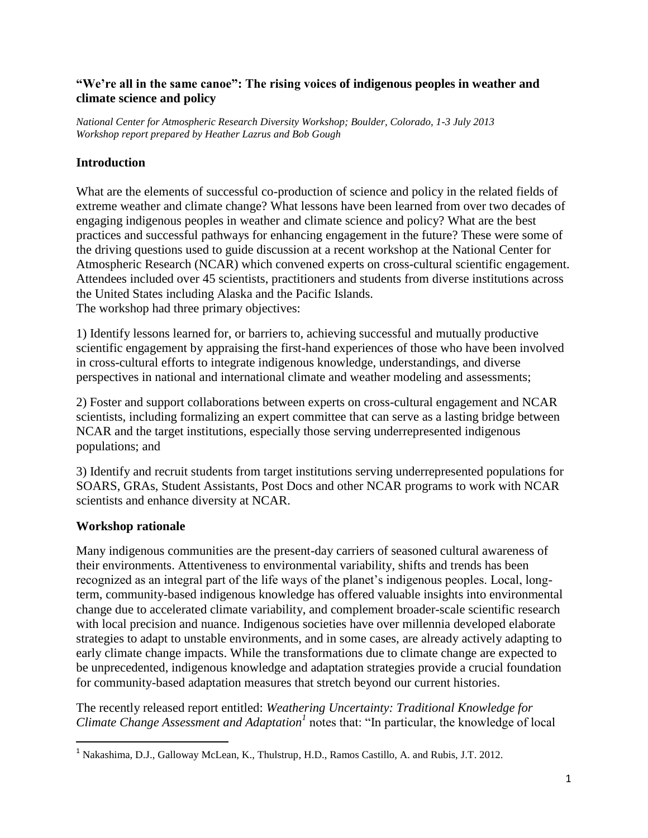#### **"We're all in the same canoe": The rising voices of indigenous peoples in weather and climate science and policy**

*National Center for Atmospheric Research Diversity Workshop; Boulder, Colorado, 1-3 July 2013 Workshop report prepared by Heather Lazrus and Bob Gough*

## **Introduction**

What are the elements of successful co-production of science and policy in the related fields of extreme weather and climate change? What lessons have been learned from over two decades of engaging indigenous peoples in weather and climate science and policy? What are the best practices and successful pathways for enhancing engagement in the future? These were some of the driving questions used to guide discussion at a recent workshop at the National Center for Atmospheric Research (NCAR) which convened experts on cross-cultural scientific engagement. Attendees included over 45 scientists, practitioners and students from diverse institutions across the United States including Alaska and the Pacific Islands. The workshop had three primary objectives:

1) Identify lessons learned for, or barriers to, achieving successful and mutually productive scientific engagement by appraising the first-hand experiences of those who have been involved in cross-cultural efforts to integrate indigenous knowledge, understandings, and diverse perspectives in national and international climate and weather modeling and assessments;

2) Foster and support collaborations between experts on cross-cultural engagement and NCAR scientists, including formalizing an expert committee that can serve as a lasting bridge between NCAR and the target institutions, especially those serving underrepresented indigenous populations; and

3) Identify and recruit students from target institutions serving underrepresented populations for SOARS, GRAs, Student Assistants, Post Docs and other NCAR programs to work with NCAR scientists and enhance diversity at NCAR.

# **Workshop rationale**

 $\overline{\phantom{a}}$ 

Many indigenous communities are the present-day carriers of seasoned cultural awareness of their environments. Attentiveness to environmental variability, shifts and trends has been recognized as an integral part of the life ways of the planet's indigenous peoples. Local, longterm, community-based indigenous knowledge has offered valuable insights into environmental change due to accelerated climate variability, and complement broader-scale scientific research with local precision and nuance. Indigenous societies have over millennia developed elaborate strategies to adapt to unstable environments, and in some cases, are already actively adapting to early climate change impacts. While the transformations due to climate change are expected to be unprecedented, indigenous knowledge and adaptation strategies provide a crucial foundation for community-based adaptation measures that stretch beyond our current histories.

The recently released report entitled: *Weathering Uncertainty: Traditional Knowledge for Climate Change Assessment and Adaptation<sup>1</sup>* notes that: "In particular, the knowledge of local

<sup>1</sup> Nakashima, D.J., Galloway McLean, K., Thulstrup, H.D., Ramos Castillo, A. and Rubis, J.T. 2012.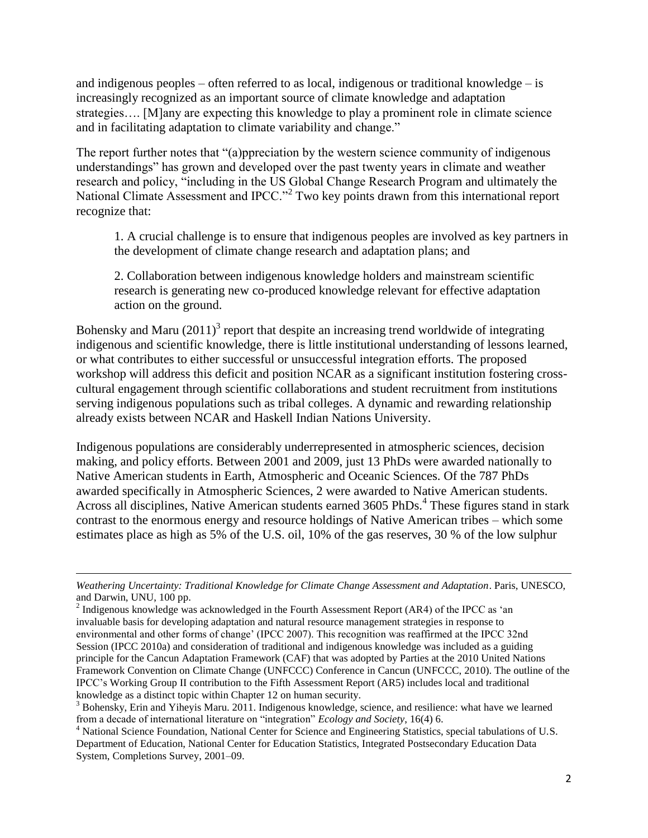and indigenous peoples – often referred to as local, indigenous or traditional knowledge – is increasingly recognized as an important source of climate knowledge and adaptation strategies…. [M]any are expecting this knowledge to play a prominent role in climate science and in facilitating adaptation to climate variability and change."

The report further notes that "(a)ppreciation by the western science community of indigenous understandings" has grown and developed over the past twenty years in climate and weather research and policy, "including in the US Global Change Research Program and ultimately the National Climate Assessment and IPCC."<sup>2</sup> Two key points drawn from this international report recognize that:

1. A crucial challenge is to ensure that indigenous peoples are involved as key partners in the development of climate change research and adaptation plans; and

2. Collaboration between indigenous knowledge holders and mainstream scientific research is generating new co-produced knowledge relevant for effective adaptation action on the ground.

Bohensky and Maru  $(2011)^3$  report that despite an increasing trend worldwide of integrating indigenous and scientific knowledge, there is little institutional understanding of lessons learned, or what contributes to either successful or unsuccessful integration efforts. The proposed workshop will address this deficit and position NCAR as a significant institution fostering crosscultural engagement through scientific collaborations and student recruitment from institutions serving indigenous populations such as tribal colleges. A dynamic and rewarding relationship already exists between NCAR and Haskell Indian Nations University.

Indigenous populations are considerably underrepresented in atmospheric sciences, decision making, and policy efforts. Between 2001 and 2009, just 13 PhDs were awarded nationally to Native American students in Earth, Atmospheric and Oceanic Sciences. Of the 787 PhDs awarded specifically in Atmospheric Sciences, 2 were awarded to Native American students. Across all disciplines, Native American students earned 3605 PhDs.<sup>4</sup> These figures stand in stark contrast to the enormous energy and resource holdings of Native American tribes – which some estimates place as high as 5% of the U.S. oil, 10% of the gas reserves, 30 % of the low sulphur

l

*Weathering Uncertainty: Traditional Knowledge for Climate Change Assessment and Adaptation*. Paris, UNESCO, and Darwin, UNU, 100 pp.

 $2 \text{~Indigenous knowledge was acknowledged in the Fourth Assessment Report (AR4) of the IPCC as 'an$ invaluable basis for developing adaptation and natural resource management strategies in response to environmental and other forms of change' (IPCC 2007). This recognition was reaffirmed at the IPCC 32nd Session (IPCC 2010a) and consideration of traditional and indigenous knowledge was included as a guiding principle for the Cancun Adaptation Framework (CAF) that was adopted by Parties at the 2010 United Nations Framework Convention on Climate Change (UNFCCC) Conference in Cancun (UNFCCC, 2010). The outline of the IPCC's Working Group II contribution to the Fifth Assessment Report (AR5) includes local and traditional knowledge as a distinct topic within Chapter 12 on human security.

<sup>&</sup>lt;sup>3</sup> Bohensky, Erin and Yiheyis Maru. 2011. Indigenous knowledge, science, and resilience: what have we learned from a decade of international literature on "integration" *Ecology and Society*, 16(4) 6.

<sup>&</sup>lt;sup>4</sup> National Science Foundation, National Center for Science and Engineering Statistics, special tabulations of U.S. Department of Education, National Center for Education Statistics, Integrated Postsecondary Education Data System, Completions Survey, 2001–09.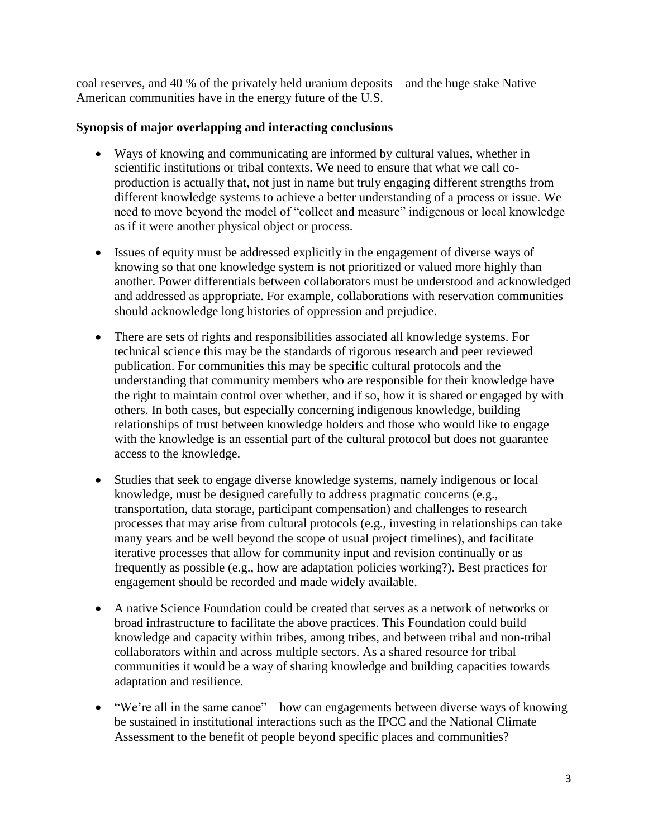coal reserves, and 40 % of the privately held uranium deposits – and the huge stake Native American communities have in the energy future of the U.S.

### **Synopsis of major overlapping and interacting conclusions**

- Ways of knowing and communicating are informed by cultural values, whether in scientific institutions or tribal contexts. We need to ensure that what we call coproduction is actually that, not just in name but truly engaging different strengths from different knowledge systems to achieve a better understanding of a process or issue. We need to move beyond the model of "collect and measure" indigenous or local knowledge as if it were another physical object or process.
- Issues of equity must be addressed explicitly in the engagement of diverse ways of knowing so that one knowledge system is not prioritized or valued more highly than another. Power differentials between collaborators must be understood and acknowledged and addressed as appropriate. For example, collaborations with reservation communities should acknowledge long histories of oppression and prejudice.
- There are sets of rights and responsibilities associated all knowledge systems. For technical science this may be the standards of rigorous research and peer reviewed publication. For communities this may be specific cultural protocols and the understanding that community members who are responsible for their knowledge have the right to maintain control over whether, and if so, how it is shared or engaged by with others. In both cases, but especially concerning indigenous knowledge, building relationships of trust between knowledge holders and those who would like to engage with the knowledge is an essential part of the cultural protocol but does not guarantee access to the knowledge.
- Studies that seek to engage diverse knowledge systems, namely indigenous or local knowledge, must be designed carefully to address pragmatic concerns (e.g., transportation, data storage, participant compensation) and challenges to research processes that may arise from cultural protocols (e.g., investing in relationships can take many years and be well beyond the scope of usual project timelines), and facilitate iterative processes that allow for community input and revision continually or as frequently as possible (e.g., how are adaptation policies working?). Best practices for engagement should be recorded and made widely available.
- A native Science Foundation could be created that serves as a network of networks or broad infrastructure to facilitate the above practices. This Foundation could build knowledge and capacity within tribes, among tribes, and between tribal and non-tribal collaborators within and across multiple sectors. As a shared resource for tribal communities it would be a way of sharing knowledge and building capacities towards adaptation and resilience.
- "We're all in the same canoe" how can engagements between diverse ways of knowing be sustained in institutional interactions such as the IPCC and the National Climate Assessment to the benefit of people beyond specific places and communities?